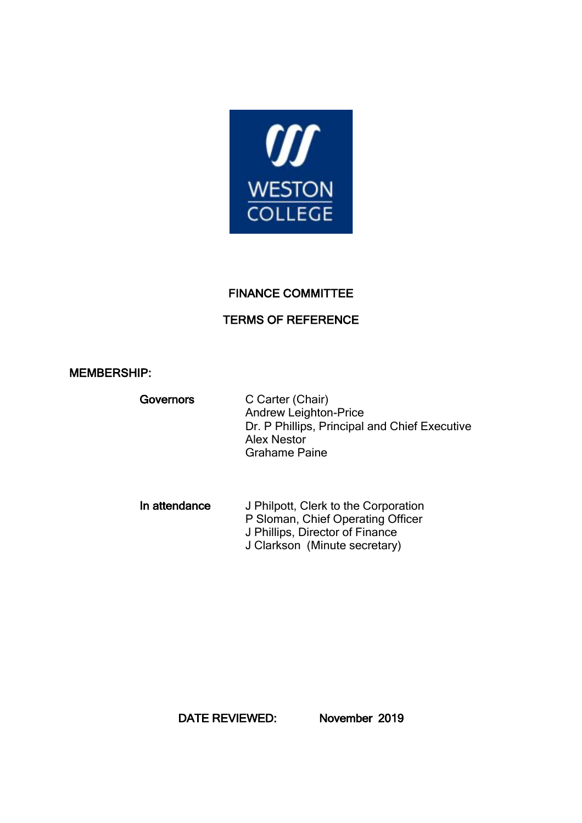

## FINANCE COMMITTEE

# TERMS OF REFERENCE

### MEMBERSHIP:

| Governors | C Carter (Chair)<br><b>Andrew Leighton-Price</b><br>Dr. P Phillips, Principal and Chief Executive<br><b>Alex Nestor</b><br><b>Grahame Paine</b> |
|-----------|-------------------------------------------------------------------------------------------------------------------------------------------------|
|-----------|-------------------------------------------------------------------------------------------------------------------------------------------------|

In attendance J Philpott, Clerk to the Corporation P Sloman, Chief Operating Officer J Phillips, Director of Finance J Clarkson (Minute secretary)

DATE REVIEWED: November 2019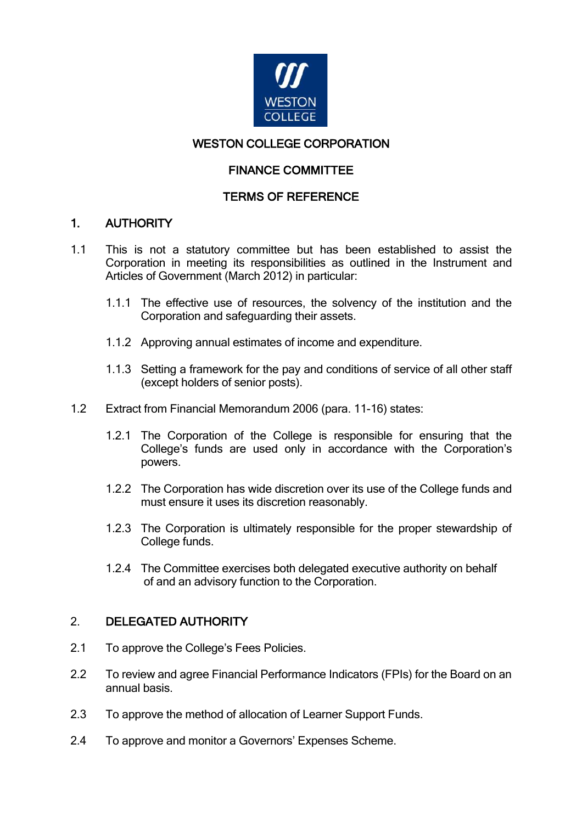

# WESTON COLLEGE CORPORATION

# FINANCE COMMITTEE

# TERMS OF REFERENCE

## 1. AUTHORITY

- 1.1 This is not a statutory committee but has been established to assist the Corporation in meeting its responsibilities as outlined in the Instrument and Articles of Government (March 2012) in particular:
	- 1.1.1 The effective use of resources, the solvency of the institution and the Corporation and safeguarding their assets.
	- 1.1.2 Approving annual estimates of income and expenditure.
	- 1.1.3 Setting a framework for the pay and conditions of service of all other staff (except holders of senior posts).
- 1.2 Extract from Financial Memorandum 2006 (para. 11-16) states:
	- 1.2.1 The Corporation of the College is responsible for ensuring that the College's funds are used only in accordance with the Corporation's powers.
	- 1.2.2 The Corporation has wide discretion over its use of the College funds and must ensure it uses its discretion reasonably.
	- 1.2.3 The Corporation is ultimately responsible for the proper stewardship of College funds.
	- 1.2.4 The Committee exercises both delegated executive authority on behalf of and an advisory function to the Corporation.

# 2. DELEGATED AUTHORITY

- 2.1 To approve the College's Fees Policies.
- 2.2 To review and agree Financial Performance Indicators (FPIs) for the Board on an annual basis.
- 2.3 To approve the method of allocation of Learner Support Funds.
- 2.4 To approve and monitor a Governors' Expenses Scheme.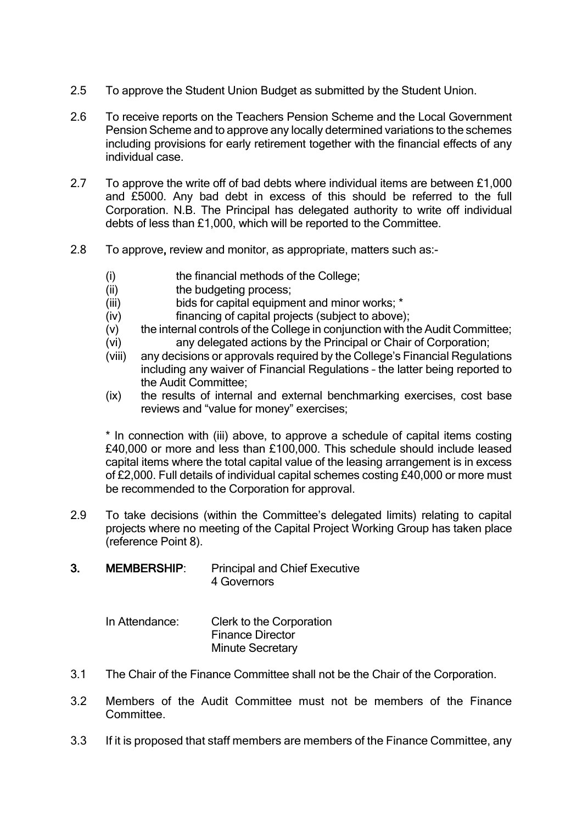- 2.5 To approve the Student Union Budget as submitted by the Student Union.
- 2.6 To receive reports on the Teachers Pension Scheme and the Local Government Pension Scheme and to approve any locally determined variations to the schemes including provisions for early retirement together with the financial effects of any individual case.
- 2.7 To approve the write off of bad debts where individual items are between £1,000 and £5000. Any bad debt in excess of this should be referred to the full Corporation. N.B. The Principal has delegated authority to write off individual debts of less than £1,000, which will be reported to the Committee.
- 2.8 To approve, review and monitor, as appropriate, matters such as:-
	- (i) the financial methods of the College;
	- (ii) the budgeting process;
	- (iii) bids for capital equipment and minor works; \*
	- (iv) financing of capital projects (subject to above);
	- (v) the internal controls of the College in conjunction with the Audit Committee; (vi) any delegated actions by the Principal or Chair of Corporation;
	- (viii) any decisions or approvals required by the College's Financial Regulations including any waiver of Financial Regulations – the latter being reported to the Audit Committee;
	- (ix) the results of internal and external benchmarking exercises, cost base reviews and "value for money" exercises;

\* In connection with (iii) above, to approve a schedule of capital items costing £40,000 or more and less than £100,000. This schedule should include leased capital items where the total capital value of the leasing arrangement is in excess of £2,000. Full details of individual capital schemes costing £40,000 or more must be recommended to the Corporation for approval.

- 2.9 To take decisions (within the Committee's delegated limits) relating to capital projects where no meeting of the Capital Project Working Group has taken place (reference Point 8).
- 3. MEMBERSHIP: Principal and Chief Executive 4 Governors

In Attendance: Clerk to the Corporation Finance Director Minute Secretary

- 3.1 The Chair of the Finance Committee shall not be the Chair of the Corporation.
- 3.2 Members of the Audit Committee must not be members of the Finance **Committee.**
- 3.3 If it is proposed that staff members are members of the Finance Committee, any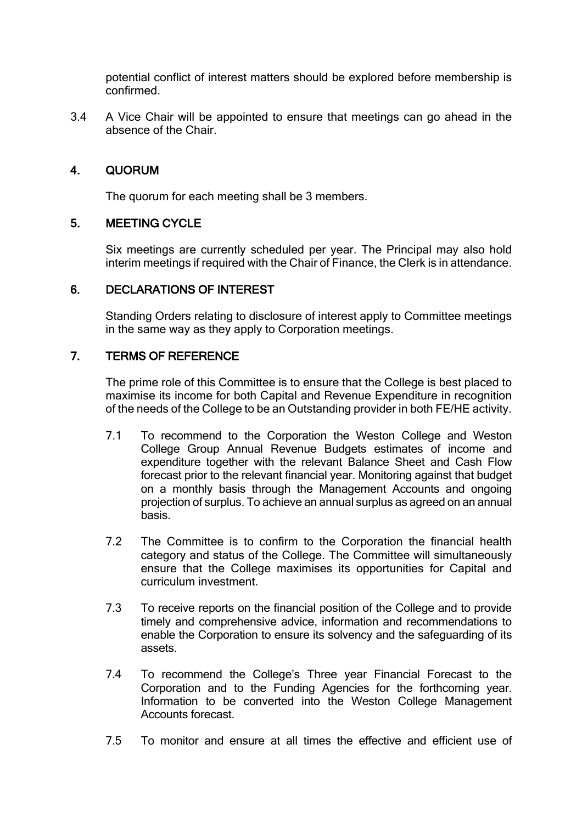potential conflict of interest matters should be explored before membership is confirmed.

3.4 A Vice Chair will be appointed to ensure that meetings can go ahead in the absence of the Chair.

## 4. QUORUM

The quorum for each meeting shall be 3 members.

### 5. MEETING CYCLE

Six meetings are currently scheduled per year. The Principal may also hold interim meetings if required with the Chair of Finance, the Clerk is in attendance.

#### 6. DECLARATIONS OF INTEREST

Standing Orders relating to disclosure of interest apply to Committee meetings in the same way as they apply to Corporation meetings.

### 7. TERMS OF REFERENCE

The prime role of this Committee is to ensure that the College is best placed to maximise its income for both Capital and Revenue Expenditure in recognition of the needs of the College to be an Outstanding provider in both FE/HE activity.

- 7.1 To recommend to the Corporation the Weston College and Weston College Group Annual Revenue Budgets estimates of income and expenditure together with the relevant Balance Sheet and Cash Flow forecast prior to the relevant financial year. Monitoring against that budget on a monthly basis through the Management Accounts and ongoing projection of surplus. To achieve an annual surplus as agreed on an annual basis.
- 7.2 The Committee is to confirm to the Corporation the financial health category and status of the College. The Committee will simultaneously ensure that the College maximises its opportunities for Capital and curriculum investment.
- 7.3 To receive reports on the financial position of the College and to provide timely and comprehensive advice, information and recommendations to enable the Corporation to ensure its solvency and the safeguarding of its assets.
- 7.4 To recommend the College's Three year Financial Forecast to the Corporation and to the Funding Agencies for the forthcoming year. Information to be converted into the Weston College Management Accounts forecast.
- 7.5 To monitor and ensure at all times the effective and efficient use of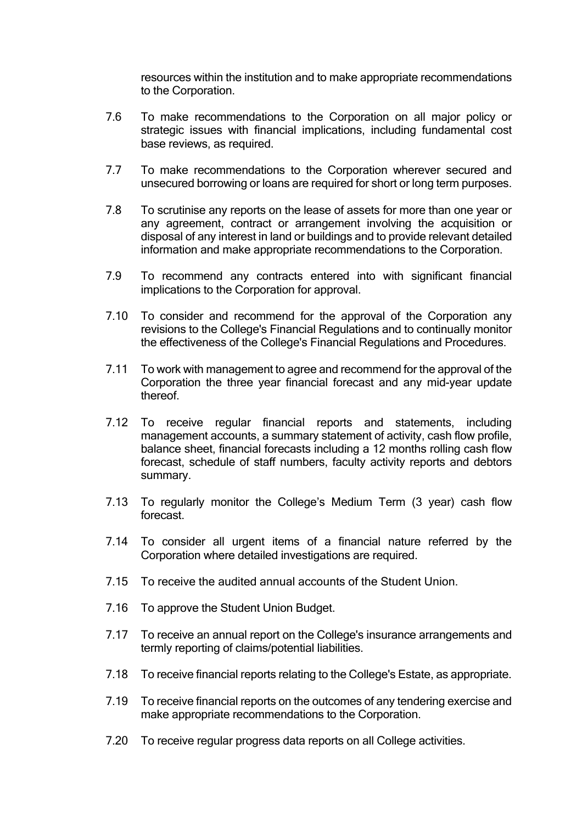resources within the institution and to make appropriate recommendations to the Corporation.

- 7.6 To make recommendations to the Corporation on all major policy or strategic issues with financial implications, including fundamental cost base reviews, as required.
- 7.7 To make recommendations to the Corporation wherever secured and unsecured borrowing or loans are required for short or long term purposes.
- 7.8 To scrutinise any reports on the lease of assets for more than one year or any agreement, contract or arrangement involving the acquisition or disposal of any interest in land or buildings and to provide relevant detailed information and make appropriate recommendations to the Corporation.
- 7.9 To recommend any contracts entered into with significant financial implications to the Corporation for approval.
- 7.10 To consider and recommend for the approval of the Corporation any revisions to the College's Financial Regulations and to continually monitor the effectiveness of the College's Financial Regulations and Procedures.
- 7.11 To work with management to agree and recommend for the approval of the Corporation the three year financial forecast and any mid-year update thereof.
- 7.12 To receive regular financial reports and statements, including management accounts, a summary statement of activity, cash flow profile, balance sheet, financial forecasts including a 12 months rolling cash flow forecast, schedule of staff numbers, faculty activity reports and debtors summary.
- 7.13 To regularly monitor the College's Medium Term (3 year) cash flow forecast.
- 7.14 To consider all urgent items of a financial nature referred by the Corporation where detailed investigations are required.
- 7.15 To receive the audited annual accounts of the Student Union.
- 7.16 To approve the Student Union Budget.
- 7.17 To receive an annual report on the College's insurance arrangements and termly reporting of claims/potential liabilities.
- 7.18 To receive financial reports relating to the College's Estate, as appropriate.
- 7.19 To receive financial reports on the outcomes of any tendering exercise and make appropriate recommendations to the Corporation.
- 7.20 To receive regular progress data reports on all College activities.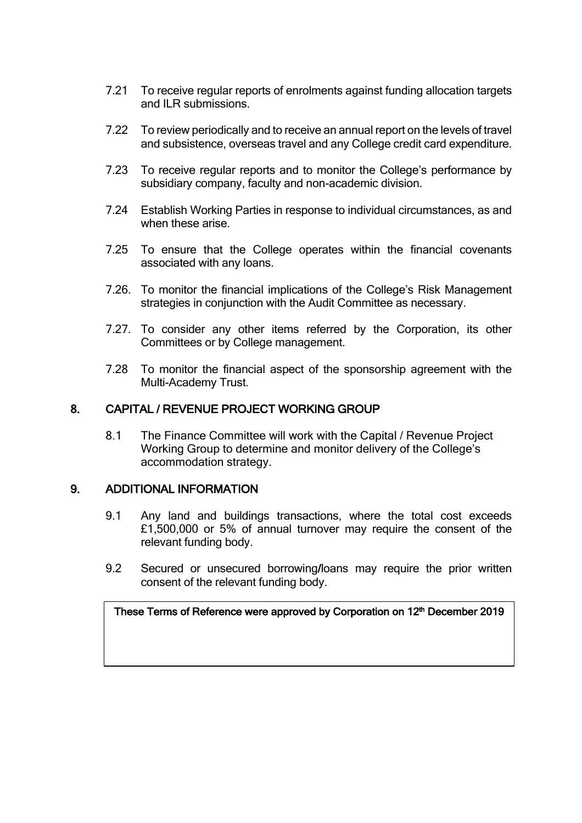- 7.21 To receive regular reports of enrolments against funding allocation targets and II R submissions.
- 7.22 To review periodically and to receive an annual report on the levels of travel and subsistence, overseas travel and any College credit card expenditure.
- 7.23 To receive regular reports and to monitor the College's performance by subsidiary company, faculty and non-academic division.
- 7.24 Establish Working Parties in response to individual circumstances, as and when these arise.
- 7.25 To ensure that the College operates within the financial covenants associated with any loans.
- 7.26. To monitor the financial implications of the College's Risk Management strategies in conjunction with the Audit Committee as necessary.
- 7.27. To consider any other items referred by the Corporation, its other Committees or by College management.
- 7.28 To monitor the financial aspect of the sponsorship agreement with the Multi-Academy Trust.

## 8. CAPITAL / REVENUE PROJECT WORKING GROUP

8.1 The Finance Committee will work with the Capital / Revenue Project Working Group to determine and monitor delivery of the College's accommodation strategy.

### 9. ADDITIONAL INFORMATION

- 9.1 Any land and buildings transactions, where the total cost exceeds £1,500,000 or 5% of annual turnover may require the consent of the relevant funding body.
- 9.2 Secured or unsecured borrowing/loans may require the prior written consent of the relevant funding body.

These Terms of Reference were approved by Corporation on 12<sup>th</sup> December 2019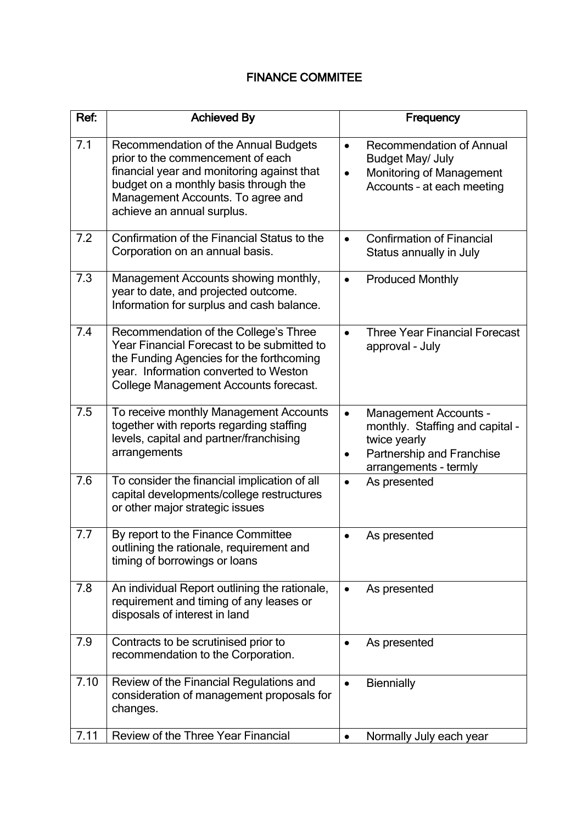# FINANCE COMMITEE

| Ref: | <b>Achieved By</b>                                                                                                                                                                                                                  | Frequency                                                                                                                                          |  |  |
|------|-------------------------------------------------------------------------------------------------------------------------------------------------------------------------------------------------------------------------------------|----------------------------------------------------------------------------------------------------------------------------------------------------|--|--|
| 7.1  | Recommendation of the Annual Budgets<br>prior to the commencement of each<br>financial year and monitoring against that<br>budget on a monthly basis through the<br>Management Accounts. To agree and<br>achieve an annual surplus. | <b>Recommendation of Annual</b><br>$\bullet$<br>Budget May/ July<br><b>Monitoring of Management</b><br>$\bullet$<br>Accounts - at each meeting     |  |  |
| 7.2  | Confirmation of the Financial Status to the<br>Corporation on an annual basis.                                                                                                                                                      | <b>Confirmation of Financial</b><br>$\bullet$<br>Status annually in July                                                                           |  |  |
| 7.3  | Management Accounts showing monthly,<br>year to date, and projected outcome.<br>Information for surplus and cash balance.                                                                                                           | <b>Produced Monthly</b><br>$\bullet$                                                                                                               |  |  |
| 7.4  | Recommendation of the College's Three<br>Year Financial Forecast to be submitted to<br>the Funding Agencies for the forthcoming<br>year. Information converted to Weston<br>College Management Accounts forecast.                   | <b>Three Year Financial Forecast</b><br>$\bullet$<br>approval - July                                                                               |  |  |
| 7.5  | To receive monthly Management Accounts<br>together with reports regarding staffing<br>levels, capital and partner/franchising<br>arrangements                                                                                       | <b>Management Accounts -</b><br>$\bullet$<br>monthly. Staffing and capital -<br>twice yearly<br>Partnership and Franchise<br>arrangements - termly |  |  |
| 7.6  | To consider the financial implication of all<br>capital developments/college restructures<br>or other major strategic issues                                                                                                        | As presented                                                                                                                                       |  |  |
| 7.7  | By report to the Finance Committee<br>outlining the rationale, requirement and<br>timing of borrowings or loans                                                                                                                     | As presented                                                                                                                                       |  |  |
| 7.8  | An individual Report outlining the rationale,<br>requirement and timing of any leases or<br>disposals of interest in land                                                                                                           | As presented                                                                                                                                       |  |  |
| 7.9  | Contracts to be scrutinised prior to<br>recommendation to the Corporation.                                                                                                                                                          | As presented                                                                                                                                       |  |  |
| 7.10 | Review of the Financial Regulations and<br>consideration of management proposals for<br>changes.                                                                                                                                    | <b>Biennially</b><br>$\bullet$                                                                                                                     |  |  |
| 7.11 | Review of the Three Year Financial                                                                                                                                                                                                  | Normally July each year<br>$\bullet$                                                                                                               |  |  |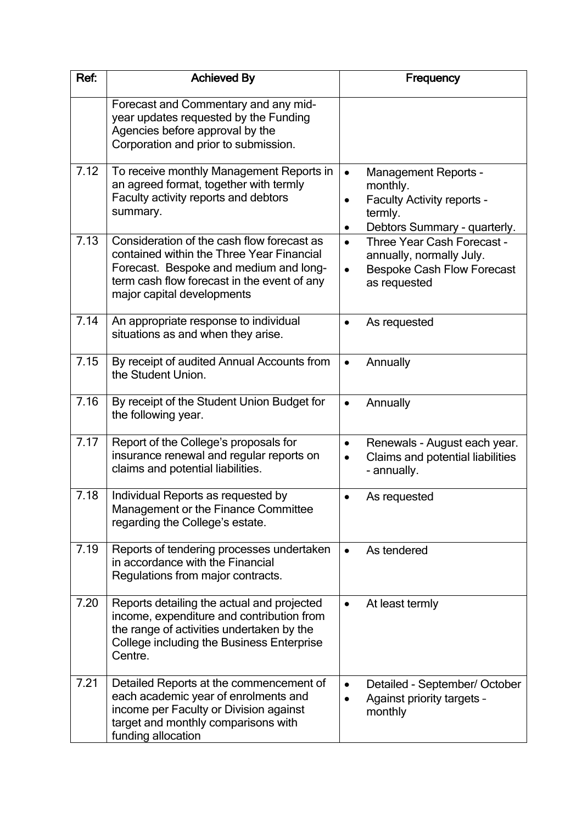| Ref: | <b>Achieved By</b>                                                                                                                                                                                             | Frequency                                                                                                                                  |  |
|------|----------------------------------------------------------------------------------------------------------------------------------------------------------------------------------------------------------------|--------------------------------------------------------------------------------------------------------------------------------------------|--|
|      | Forecast and Commentary and any mid-<br>year updates requested by the Funding<br>Agencies before approval by the<br>Corporation and prior to submission.                                                       |                                                                                                                                            |  |
| 7.12 | To receive monthly Management Reports in<br>an agreed format, together with termly<br>Faculty activity reports and debtors<br>summary.                                                                         | <b>Management Reports -</b><br>$\bullet$<br>monthly.<br>Faculty Activity reports -<br>$\bullet$<br>termly.<br>Debtors Summary - quarterly. |  |
| 7.13 | Consideration of the cash flow forecast as<br>contained within the Three Year Financial<br>Forecast. Bespoke and medium and long-<br>term cash flow forecast in the event of any<br>major capital developments | Three Year Cash Forecast -<br>$\bullet$<br>annually, normally July.<br><b>Bespoke Cash Flow Forecast</b><br>$\bullet$<br>as requested      |  |
| 7.14 | An appropriate response to individual<br>situations as and when they arise.                                                                                                                                    | As requested                                                                                                                               |  |
| 7.15 | By receipt of audited Annual Accounts from<br>the Student Union.                                                                                                                                               | Annually                                                                                                                                   |  |
| 7.16 | By receipt of the Student Union Budget for<br>the following year.                                                                                                                                              | Annually                                                                                                                                   |  |
| 7.17 | Report of the College's proposals for<br>insurance renewal and regular reports on<br>claims and potential liabilities.                                                                                         | Renewals - August each year.<br>$\bullet$<br>Claims and potential liabilities<br>$\bullet$<br>- annually.                                  |  |
| 7.18 | Individual Reports as requested by<br>Management or the Finance Committee<br>regarding the College's estate.                                                                                                   | As requested                                                                                                                               |  |
| 7.19 | Reports of tendering processes undertaken<br>in accordance with the Financial<br>Regulations from major contracts.                                                                                             | As tendered                                                                                                                                |  |
| 7.20 | Reports detailing the actual and projected<br>income, expenditure and contribution from<br>the range of activities undertaken by the<br>College including the Business Enterprise<br>Centre.                   | At least termly                                                                                                                            |  |
| 7.21 | Detailed Reports at the commencement of<br>each academic year of enrolments and<br>income per Faculty or Division against<br>target and monthly comparisons with<br>funding allocation                         | Detailed - September/ October<br>Against priority targets -<br>monthly                                                                     |  |